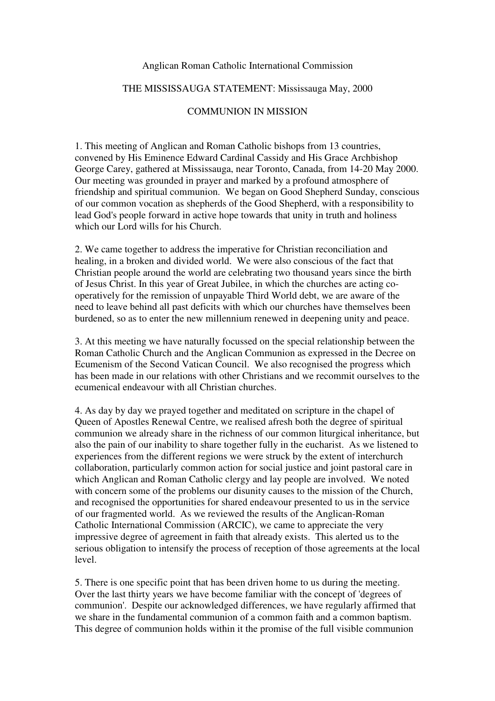## Anglican Roman Catholic International Commission

## THE MISSISSAUGA STATEMENT: Mississauga May, 2000

## COMMUNION IN MISSION

1. This meeting of Anglican and Roman Catholic bishops from 13 countries, convened by His Eminence Edward Cardinal Cassidy and His Grace Archbishop George Carey, gathered at Mississauga, near Toronto, Canada, from 14-20 May 2000. Our meeting was grounded in prayer and marked by a profound atmosphere of friendship and spiritual communion. We began on Good Shepherd Sunday, conscious of our common vocation as shepherds of the Good Shepherd, with a responsibility to lead God's people forward in active hope towards that unity in truth and holiness which our Lord wills for his Church.

2. We came together to address the imperative for Christian reconciliation and healing, in a broken and divided world. We were also conscious of the fact that Christian people around the world are celebrating two thousand years since the birth of Jesus Christ. In this year of Great Jubilee, in which the churches are acting cooperatively for the remission of unpayable Third World debt, we are aware of the need to leave behind all past deficits with which our churches have themselves been burdened, so as to enter the new millennium renewed in deepening unity and peace.

3. At this meeting we have naturally focussed on the special relationship between the Roman Catholic Church and the Anglican Communion as expressed in the Decree on Ecumenism of the Second Vatican Council. We also recognised the progress which has been made in our relations with other Christians and we recommit ourselves to the ecumenical endeavour with all Christian churches.

4. As day by day we prayed together and meditated on scripture in the chapel of Queen of Apostles Renewal Centre, we realised afresh both the degree of spiritual communion we already share in the richness of our common liturgical inheritance, but also the pain of our inability to share together fully in the eucharist. As we listened to experiences from the different regions we were struck by the extent of interchurch collaboration, particularly common action for social justice and joint pastoral care in which Anglican and Roman Catholic clergy and lay people are involved. We noted with concern some of the problems our disunity causes to the mission of the Church, and recognised the opportunities for shared endeavour presented to us in the service of our fragmented world. As we reviewed the results of the Anglican-Roman Catholic International Commission (ARCIC), we came to appreciate the very impressive degree of agreement in faith that already exists. This alerted us to the serious obligation to intensify the process of reception of those agreements at the local level.

5. There is one specific point that has been driven home to us during the meeting. Over the last thirty years we have become familiar with the concept of 'degrees of communion'. Despite our acknowledged differences, we have regularly affirmed that we share in the fundamental communion of a common faith and a common baptism. This degree of communion holds within it the promise of the full visible communion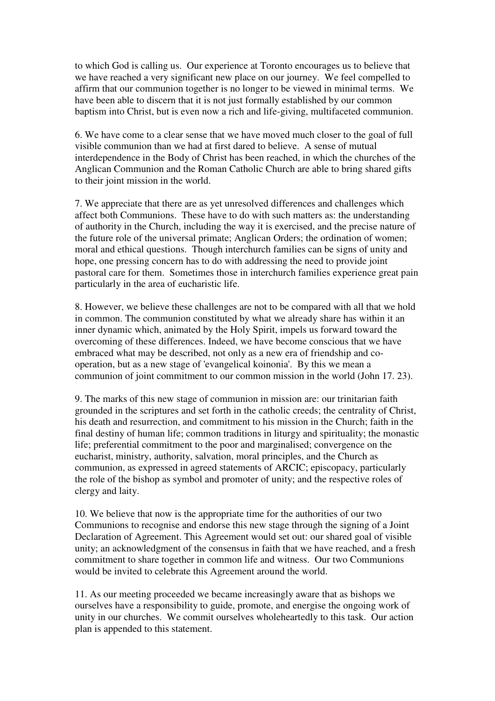to which God is calling us. Our experience at Toronto encourages us to believe that we have reached a very significant new place on our journey. We feel compelled to affirm that our communion together is no longer to be viewed in minimal terms. We have been able to discern that it is not just formally established by our common baptism into Christ, but is even now a rich and life-giving, multifaceted communion.

6. We have come to a clear sense that we have moved much closer to the goal of full visible communion than we had at first dared to believe. A sense of mutual interdependence in the Body of Christ has been reached, in which the churches of the Anglican Communion and the Roman Catholic Church are able to bring shared gifts to their joint mission in the world.

7. We appreciate that there are as yet unresolved differences and challenges which affect both Communions. These have to do with such matters as: the understanding of authority in the Church, including the way it is exercised, and the precise nature of the future role of the universal primate; Anglican Orders; the ordination of women; moral and ethical questions. Though interchurch families can be signs of unity and hope, one pressing concern has to do with addressing the need to provide joint pastoral care for them. Sometimes those in interchurch families experience great pain particularly in the area of eucharistic life.

8. However, we believe these challenges are not to be compared with all that we hold in common. The communion constituted by what we already share has within it an inner dynamic which, animated by the Holy Spirit, impels us forward toward the overcoming of these differences. Indeed, we have become conscious that we have embraced what may be described, not only as a new era of friendship and cooperation, but as a new stage of 'evangelical koinonia'. By this we mean a communion of joint commitment to our common mission in the world (John 17. 23).

9. The marks of this new stage of communion in mission are: our trinitarian faith grounded in the scriptures and set forth in the catholic creeds; the centrality of Christ, his death and resurrection, and commitment to his mission in the Church; faith in the final destiny of human life; common traditions in liturgy and spirituality; the monastic life; preferential commitment to the poor and marginalised; convergence on the eucharist, ministry, authority, salvation, moral principles, and the Church as communion, as expressed in agreed statements of ARCIC; episcopacy, particularly the role of the bishop as symbol and promoter of unity; and the respective roles of clergy and laity.

10. We believe that now is the appropriate time for the authorities of our two Communions to recognise and endorse this new stage through the signing of a Joint Declaration of Agreement. This Agreement would set out: our shared goal of visible unity; an acknowledgment of the consensus in faith that we have reached, and a fresh commitment to share together in common life and witness. Our two Communions would be invited to celebrate this Agreement around the world.

11. As our meeting proceeded we became increasingly aware that as bishops we ourselves have a responsibility to guide, promote, and energise the ongoing work of unity in our churches. We commit ourselves wholeheartedly to this task. Our action plan is appended to this statement.